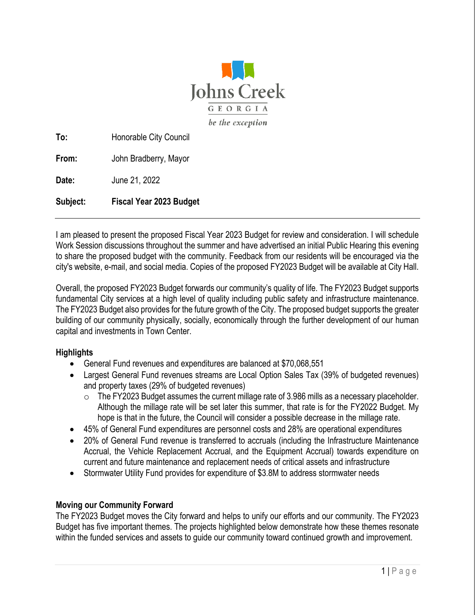

**To:** Honorable City Council

**From:** John Bradberry, Mayor

**Date:** June 21, 2022

**Subject: Fiscal Year 2023 Budget** 

I am pleased to present the proposed Fiscal Year 2023 Budget for review and consideration. I will schedule Work Session discussions throughout the summer and have advertised an initial Public Hearing this evening to share the proposed budget with the community. Feedback from our residents will be encouraged via the city's website, e-mail, and social media. Copies of the proposed FY2023 Budget will be available at City Hall.

Overall, the proposed FY2023 Budget forwards our community's quality of life. The FY2023 Budget supports fundamental City services at a high level of quality including public safety and infrastructure maintenance. The FY2023 Budget also provides for the future growth of the City. The proposed budget supports the greater building of our community physically, socially, economically through the further development of our human capital and investments in Town Center.

#### **Highlights**

- General Fund revenues and expenditures are balanced at \$70,068,551
- Largest General Fund revenues streams are Local Option Sales Tax (39% of budgeted revenues) and property taxes (29% of budgeted revenues)
	- $\circ$  The FY2023 Budget assumes the current millage rate of 3.986 mills as a necessary placeholder. Although the millage rate will be set later this summer, that rate is for the FY2022 Budget. My hope is that in the future, the Council will consider a possible decrease in the millage rate.
- 45% of General Fund expenditures are personnel costs and 28% are operational expenditures
- 20% of General Fund revenue is transferred to accruals (including the Infrastructure Maintenance Accrual, the Vehicle Replacement Accrual, and the Equipment Accrual) towards expenditure on current and future maintenance and replacement needs of critical assets and infrastructure
- Stormwater Utility Fund provides for expenditure of \$3.8M to address stormwater needs

#### **Moving our Community Forward**

The FY2023 Budget moves the City forward and helps to unify our efforts and our community. The FY2023 Budget has five important themes. The projects highlighted below demonstrate how these themes resonate within the funded services and assets to guide our community toward continued growth and improvement.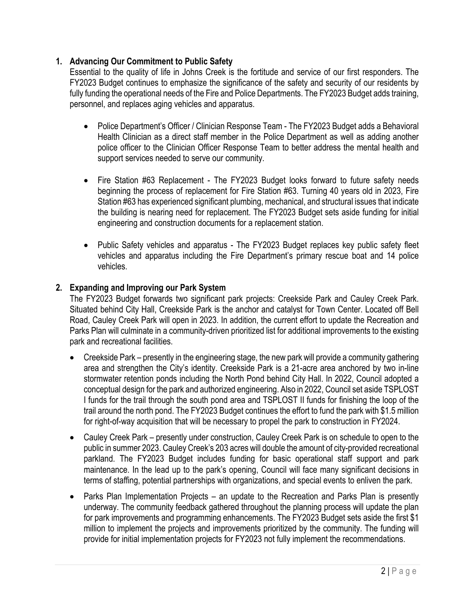### **1. Advancing Our Commitment to Public Safety**

Essential to the quality of life in Johns Creek is the fortitude and service of our first responders. The FY2023 Budget continues to emphasize the significance of the safety and security of our residents by fully funding the operational needs of the Fire and Police Departments. The FY2023 Budget adds training, personnel, and replaces aging vehicles and apparatus.

- Police Department's Officer / Clinician Response Team The FY2023 Budget adds a Behavioral Health Clinician as a direct staff member in the Police Department as well as adding another police officer to the Clinician Officer Response Team to better address the mental health and support services needed to serve our community.
- Fire Station #63 Replacement The FY2023 Budget looks forward to future safety needs beginning the process of replacement for Fire Station #63. Turning 40 years old in 2023, Fire Station #63 has experienced significant plumbing, mechanical, and structural issues that indicate the building is nearing need for replacement. The FY2023 Budget sets aside funding for initial engineering and construction documents for a replacement station.
- Public Safety vehicles and apparatus The FY2023 Budget replaces key public safety fleet vehicles and apparatus including the Fire Department's primary rescue boat and 14 police vehicles.

#### **2. Expanding and Improving our Park System**

The FY2023 Budget forwards two significant park projects: Creekside Park and Cauley Creek Park. Situated behind City Hall, Creekside Park is the anchor and catalyst for Town Center. Located off Bell Road, Cauley Creek Park will open in 2023. In addition, the current effort to update the Recreation and Parks Plan will culminate in a community-driven prioritized list for additional improvements to the existing park and recreational facilities.

- Creekside Park presently in the engineering stage, the new park will provide a community gathering area and strengthen the City's identity. Creekside Park is a 21-acre area anchored by two in-line stormwater retention ponds including the North Pond behind City Hall. In 2022, Council adopted a conceptual design for the park and authorized engineering. Also in 2022, Council set aside TSPLOST I funds for the trail through the south pond area and TSPLOST II funds for finishing the loop of the trail around the north pond. The FY2023 Budget continues the effort to fund the park with \$1.5 million for right-of-way acquisition that will be necessary to propel the park to construction in FY2024.
- Cauley Creek Park presently under construction, Cauley Creek Park is on schedule to open to the public in summer 2023. Cauley Creek's 203 acres will double the amount of city-provided recreational parkland. The FY2023 Budget includes funding for basic operational staff support and park maintenance. In the lead up to the park's opening, Council will face many significant decisions in terms of staffing, potential partnerships with organizations, and special events to enliven the park.
- Parks Plan Implementation Projects an update to the Recreation and Parks Plan is presently underway. The community feedback gathered throughout the planning process will update the plan for park improvements and programming enhancements. The FY2023 Budget sets aside the first \$1 million to implement the projects and improvements prioritized by the community. The funding will provide for initial implementation projects for FY2023 not fully implement the recommendations.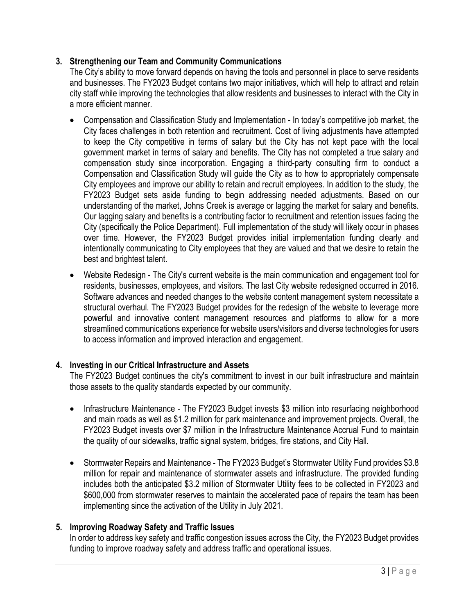### **3. Strengthening our Team and Community Communications**

The City's ability to move forward depends on having the tools and personnel in place to serve residents and businesses. The FY2023 Budget contains two major initiatives, which will help to attract and retain city staff while improving the technologies that allow residents and businesses to interact with the City in a more efficient manner.

- Compensation and Classification Study and Implementation In today's competitive job market, the City faces challenges in both retention and recruitment. Cost of living adjustments have attempted to keep the City competitive in terms of salary but the City has not kept pace with the local government market in terms of salary and benefits. The City has not completed a true salary and compensation study since incorporation. Engaging a third-party consulting firm to conduct a Compensation and Classification Study will guide the City as to how to appropriately compensate City employees and improve our ability to retain and recruit employees. In addition to the study, the FY2023 Budget sets aside funding to begin addressing needed adjustments. Based on our understanding of the market, Johns Creek is average or lagging the market for salary and benefits. Our lagging salary and benefits is a contributing factor to recruitment and retention issues facing the City (specifically the Police Department). Full implementation of the study will likely occur in phases over time. However, the FY2023 Budget provides initial implementation funding clearly and intentionally communicating to City employees that they are valued and that we desire to retain the best and brightest talent.
- Website Redesign The City's current website is the main communication and engagement tool for residents, businesses, employees, and visitors. The last City website redesigned occurred in 2016. Software advances and needed changes to the website content management system necessitate a structural overhaul. The FY2023 Budget provides for the redesign of the website to leverage more powerful and innovative content management resources and platforms to allow for a more streamlined communications experience for website users/visitors and diverse technologies for users to access information and improved interaction and engagement.

# **4. Investing in our Critical Infrastructure and Assets**

The FY2023 Budget continues the city's commitment to invest in our built infrastructure and maintain those assets to the quality standards expected by our community.

- Infrastructure Maintenance The FY2023 Budget invests \$3 million into resurfacing neighborhood and main roads as well as \$1.2 million for park maintenance and improvement projects. Overall, the FY2023 Budget invests over \$7 million in the Infrastructure Maintenance Accrual Fund to maintain the quality of our sidewalks, traffic signal system, bridges, fire stations, and City Hall.
- Stormwater Repairs and Maintenance The FY2023 Budget's Stormwater Utility Fund provides \$3.8 million for repair and maintenance of stormwater assets and infrastructure. The provided funding includes both the anticipated \$3.2 million of Stormwater Utility fees to be collected in FY2023 and \$600,000 from stormwater reserves to maintain the accelerated pace of repairs the team has been implementing since the activation of the Utility in July 2021.

# **5. Improving Roadway Safety and Traffic Issues**

In order to address key safety and traffic congestion issues across the City, the FY2023 Budget provides funding to improve roadway safety and address traffic and operational issues.